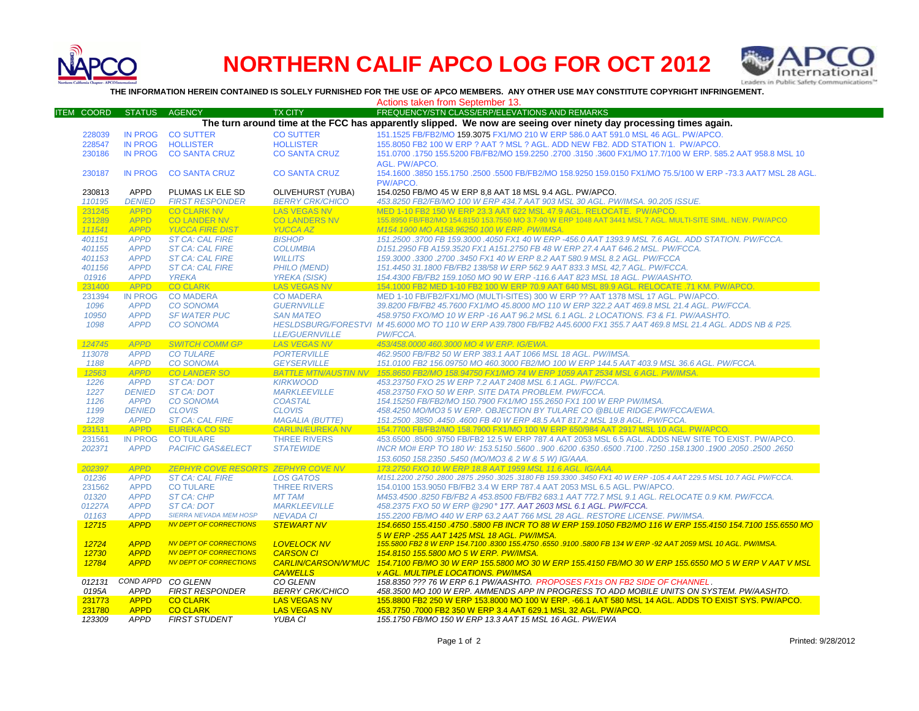

## **NORTHERN CALIF APCO LOG FOR OCT 2012**



**THE INFORMATION HEREIN CONTAINED IS SOLELY FURNISHED FOR THE USE OF APCO MEMBERS. ANY OTHER USE MAY CONSTITUTE COPYRIGHT INFRINGEMENT.**

Actions taken from September 13.

| <b>ITEM COORD</b> | <b>STATUS</b>  | <b>AGENCY</b>                             | <b>TX CITY</b>             | FREQUENCY/STN CLASS/ERP/ELEVATIONS AND REMARKS                                                                          |
|-------------------|----------------|-------------------------------------------|----------------------------|-------------------------------------------------------------------------------------------------------------------------|
|                   |                |                                           |                            | The turn around time at the FCC has apparently slipped. We now are seeing over ninety day processing times again.       |
| 228039            | <b>IN PROG</b> | <b>CO SUTTER</b>                          | <b>CO SUTTER</b>           | 151.1525 FB/FB2/MO 159.3075 FX1/MO 210 W ERP 586.0 AAT 591.0 MSL 46 AGL. PW/APCO.                                       |
| 228547            | <b>IN PROG</b> | <b>HOLLISTER</b>                          | <b>HOLLISTER</b>           | 155.8050 FB2 100 W ERP ? AAT ? MSL ? AGL. ADD NEW FB2. ADD STATION 1. PW/APCO.                                          |
| 230186            | <b>IN PROG</b> | <b>CO SANTA CRUZ</b>                      | <b>CO SANTA CRUZ</b>       | 151.0700 .1750 155.5200 FB/FB2/MO 159.2250 .2700 .3150 .3600 FX1/MO 17.7/100 W ERP, 585.2 AAT 958.8 MSL 10              |
|                   |                |                                           |                            | AGL. PW/APCO.                                                                                                           |
| 230187            | <b>IN PROG</b> | <b>CO SANTA CRUZ</b>                      | <b>CO SANTA CRUZ</b>       | 154.1600 .3850 155.1750 .2500 .5500 FB/FB2/MO 158.9250 159.0150 FX1/MO 75.5/100 W ERP -73.3 AAT7 MSL 28 AGL.            |
|                   |                |                                           |                            | PW/APCO.                                                                                                                |
| 230813            | <b>APPD</b>    | PLUMAS LK ELE SD                          | OLIVEHURST (YUBA)          | 154.0250 FB/MO 45 W ERP 8.8 AAT 18 MSL 9.4 AGL. PW/APCO.                                                                |
| 110195            | <b>DENIED</b>  | <b>FIRST RESPONDER</b>                    | <b>BERRY CRK/CHICO</b>     | 453.8250 FB2/FB/MO 100 W ERP 434.7 AAT 903 MSL 30 AGL. PW/IMSA, 90.205 ISSUE.                                           |
| 231245            | <b>APPD</b>    | <b>CO CLARK NV</b>                        | <b>LAS VEGAS NV</b>        | MED 1-10 FB2 150 W ERP 23.3 AAT 622 MSL 47.9 AGL, RELOCATE, PW/APCO,                                                    |
| 231289            | <b>APPD</b>    | <b>CO LANDER NV</b>                       | <b>CO LANDERS NV</b>       | 155.8950 FB/FB2/MO 154.8150 153.7550 MO 3.7-90 W ERP 1048 AAT 3441 MSL 7 AGL. MULTI-SITE SIML. NEW. PW/APCO             |
| 111541            | <b>APPD</b>    | <b>YUCCA FIRE DIST</b>                    | <b>YUCCA AZ</b>            | M154.1900 MO A158.96250 100 W ERP. PW/IMSA.                                                                             |
| 401151            | <b>APPD</b>    | <b>ST CA: CAL FIRE</b>                    | <b>BISHOP</b>              | 151.2500 .3700 FB 159.3000 .4050 FX1 40 W ERP -456.0 AAT 1393.9 MSL 7.6 AGL. ADD STATION. PW/FCCA.                      |
| 401155            | <b>APPD</b>    | <b>ST CA: CAL FIRE</b>                    | <b>COLUMBIA</b>            | D151.2950 FB A159.3520 FX1 A151.2750 FB 48 W ERP 27.4 AAT 646.2 MSL, PW/FCCA.                                           |
| 401153            | <b>APPD</b>    | <b>ST CA: CAL FIRE</b>                    | <b>WILLITS</b>             | 159.3000.3300.2700.3450 FX1 40 W ERP 8.2 AAT 580.9 MSL 8.2 AGL. PW/FCCA                                                 |
| 401156            | <b>APPD</b>    | <b>ST CA: CAL FIRE</b>                    | <b>PHILO (MEND)</b>        | 151.4450 31.1800 FB/FB2 138/58 W ERP 562.9 AAT 833.3 MSL 42.7 AGL. PW/FCCA.                                             |
| 01916             | <b>APPD</b>    | <b>YREKA</b>                              | <b>YREKA (SISK)</b>        | 154.4300 FB/FB2 159.1050 MO 90 W ERP -116.6 AAT 823 MSL 18 AGL. PW/AASHTO.                                              |
| 231400            | <b>APPD</b>    | <b>CO CLARK</b>                           | <b>LAS VEGAS NV</b>        | 154.1000 FB2 MED 1-10 FB2 100 W ERP 70.9 AAT 640 MSL 89.9 AGL. RELOCATE .71 KM. PW/APCO.                                |
| 231394            | <b>IN PROG</b> | <b>CO MADERA</b>                          | <b>CO MADERA</b>           | MED 1-10 FB/FB2/FX1/MO (MULTI-SITES) 300 W ERP ?? AAT 1378 MSL 17 AGL. PW/APCO.                                         |
| 1096              | <b>APPD</b>    | <b>CO SONOMA</b>                          | <b>GUERNVILLE</b>          | 39.8200 FB/FB2 45.7600 FX1/MO 45.8000 MO 110 W ERP 322.2 AAT 469.8 MSL 21.4 AGL. PW/FCCA.                               |
| 10950             | <b>APPD</b>    | <b>SF WATER PUC</b>                       | <b>SAN MATEO</b>           | 458.9750 FXO/MO 10 W ERP -16 AAT 96.2 MSL 6.1 AGL. 2 LOCATIONS. F3 & F1. PW/AASHTO.                                     |
| 1098              | <b>APPD</b>    | <b>CO SONOMA</b>                          |                            | HESLDSBURG/FORESTVI M 45.6000 MO TO 110 W ERP A39.7800 FB/FB2 A45.6000 FX1 355.7 AAT 469.8 MSL 21.4 AGL. ADDS NB & P25. |
|                   |                |                                           | <b>LLE/GUERNVILLE</b>      | PW/FCCA.                                                                                                                |
| 124745            | <b>APPD</b>    | <b>SWITCH COMM GP</b>                     | <b>LAS VEGAS NV</b>        | 453/458.0000 460.3000 MO 4 W ERP. IG/EWA.                                                                               |
| 113078            | <b>APPD</b>    | <b>CO TULARE</b>                          | <b>PORTERVILLE</b>         | 462.9500 FB/FB2 50 W ERP 383.1 AAT 1066 MSL 18 AGL. PW/IMSA.                                                            |
| 1188              | <b>APPD</b>    | <b>CO SONOMA</b>                          | <b>GEYSERVILLE</b>         | 151.0100 FB2 156.09750 MO 460.3000 FB2/MO 100 W ERP 144.5 AAT 403.9 MSL 36.6 AGL. PW/FCCA.                              |
| 12563             | <b>APPD</b>    | <b>CO LANDER SO</b>                       |                            | BATTLE MTN/AUSTIN NV 155.8650 FB2/MO 158.94750 FX1/MO 74 W ERP 1059 AAT 2534 MSL 6 AGL. PW/IMSA.                        |
| 1226              | <b>APPD</b>    | <b>ST CA: DOT</b>                         | <b>KIRKWOOD</b>            | 453.23750 FXO 25 W ERP 7.2 AAT 2408 MSL 6.1 AGL. PW/FCCA.                                                               |
| 1227              | <b>DENIED</b>  | <b>ST CA: DOT</b>                         | <b>MARKLEEVILLE</b>        | 458.23750 FXO 50 W ERP. SITE DATA PROBLEM. PW/FCCA.                                                                     |
| 1126              | <b>APPD</b>    | <b>CO SONOMA</b>                          | <b>COASTAL</b>             | 154.15250 FB/FB2/MO 150.7900 FX1/MO 155.2650 FX1 100 W ERP PW/IMSA.                                                     |
| 1199              | <b>DENIED</b>  | <b>CLOVIS</b>                             | <b>CLOVIS</b>              | 458.4250 MO/MO3 5 W ERP. OBJECTION BY TULARE CO @BLUE RIDGE.PW/FCCA/EWA.                                                |
| 1228              | <b>APPD</b>    | <b>ST CA: CAL FIRE</b>                    | <b>MAGALIA (BUTTE)</b>     | 151.2500 .3850 .4450 .4600 FB 40 W ERP 48.5 AAT 817.2 MSL 19.8 AGL. PW/FCCA.                                            |
| 231511            | <b>APPD</b>    | <b>EUREKA CO SD</b>                       | <b>CARLIN/EUREKA NV</b>    | 154.7700 FB/FB2/MO 158.7900 FX1/MO 100 W ERP 650/984 AAT 2917 MSL 10 AGL. PW/APCO.                                      |
| 231561            | <b>IN PROG</b> | <b>CO TULARE</b>                          | <b>THREE RIVERS</b>        | 453,6500 .8500 .9750 FB/FB2 12.5 W ERP 787.4 AAT 2053 MSL 6.5 AGL, ADDS NEW SITE TO EXIST, PW/APCO,                     |
| 202371            | <b>APPD</b>    | <b>PACIFIC GAS&amp;ELECT</b>              | <b>STATEWIDE</b>           | 2650. 2500. 2600. 1900. 17250. 158. 7250. 7100. 6350. 6350. 6300. 5600. 5600. 158. 1700 HKR MO# ERP TO 180 W:           |
|                   |                |                                           |                            | 153.6050 158.2350 .5450 (MO/MO3 & 2 W & 5 W) IG/AAA.                                                                    |
| 202397            | <b>APPD</b>    | <b>ZEPHYR COVE RESORTS ZEPHYR COVE NV</b> |                            | 173.2750 FXO 10 W ERP 18.8 AAT 1959 MSL 11.6 AGL, IG/AAA.                                                               |
| 01236             | <b>APPD</b>    | <b>ST CA: CAL FIRE</b>                    | <b>LOS GATOS</b>           | M151.2200 .2750 .2800 .2875 .2950 .3025 .3180 FB 159.3300 .3450 FX1 40 W ERP -105.4 AAT 229.5 MSL 10.7 AGL PW/FCCA.     |
| 231562            | <b>APPD</b>    | <b>CO TULARE</b>                          | <b>THREE RIVERS</b>        | 154,0100 153,9050 FB/FB2 3.4 W ERP 787.4 AAT 2053 MSL 6.5 AGL, PW/APCO.                                                 |
| 01320             | <b>APPD</b>    | <b>ST CA: CHP</b>                         | <b>MT TAM</b>              | M453.4500 .8250 FB/FB2 A 453.8500 FB/FB2 683.1 AAT 772.7 MSL 9.1 AGL. RELOCATE 0.9 KM. PW/FCCA.                         |
| 01227A            | <b>APPD</b>    | ST CA: DOT                                | <b>MARKLEEVILLE</b>        | 458.2375 FXO 50 W ERP @290° 177. AAT 2603 MSL 6.1 AGL. PW/FCCA.                                                         |
| 01163             | <b>APPD</b>    | <b>SIERRA NEVADA MEM HOSP</b>             | <b>NEVADA CI</b>           | 155.2200 FB/MO 440 W ERP 63.2 AAT 766 MSL 28 AGL. RESTORE LICENSE. PW/IMSA.                                             |
| 12715             | <b>APPD</b>    | <b>NV DEPT OF CORRECTIONS</b>             | <b>STEWART NV</b>          | 154,6650 155,4150 ,4750 ,5800 FB INCR TO 88 W ERP 159,1050 FB2/MO 116 W ERP 155,4150 154,7100 155,6550 MO               |
|                   |                |                                           |                            | 5 W ERP -255 AAT 1425 MSL 18 AGL, PW/IMSA.                                                                              |
| 12724             | <b>APPD</b>    | <b>NV DEPT OF CORRECTIONS</b>             | <b>LOVELOCK NV</b>         | 155.5800 FB2 8 W ERP 154.7100 .8300 155.4750 .6550 .9100 .5800 FB 134 W ERP -92 AAT 2059 MSL 10 AGL. PW/IMSA.           |
| 12730             | <b>APPD</b>    | <b>NV DEPT OF CORRECTIONS</b>             | <b>CARSON CI</b>           | 154.8150 155.5800 MO 5 W ERP. PW/IMSA.                                                                                  |
| 12784             | <b>APPD</b>    | <b>NV DEPT OF CORRECTIONS</b>             | <b>CARLIN/CARSON/W'MUC</b> | 154.7100 FB/MO 30 W ERP 155.5800 MO 30 W ERP 155.4150 FB/MO 30 W ERP 155.6550 MO 5 W ERP V AAT V MSL                    |
|                   |                |                                           | <b>CA/WELLS</b>            | <b>v AGL. MULTIPLE LOCATIONS. PW/IMSA</b>                                                                               |
| 012131            |                | COND APPD CO GLENN                        | CO GLENN                   | 158.8350 ??? 76 W ERP 6.1 PW/AASHTO. PROPOSES FX1s ON FB2 SIDE OF CHANNEL.                                              |
| 0195A             | <b>APPD</b>    | <b>FIRST RESPONDER</b>                    | <b>BERRY CRK/CHICO</b>     | 458.3500 MO 100 W ERP. AMMENDS APP IN PROGRESS TO ADD MOBILE UNITS ON SYSTEM. PW/AASHTO.                                |
| 231773            | <b>APPD</b>    | <b>CO CLARK</b>                           | <b>LAS VEGAS NV</b>        | 155.8800 FB2 250 W ERP 153.8000 MO 100 W ERP. -66.1 AAT 580 MSL 14 AGL. ADDS TO EXIST SYS. PW/APCO.                     |
| 231780            | <b>APPD</b>    | <b>CO CLARK</b>                           | <b>LAS VEGAS NV</b>        | 453.7750 .7000 FB2 350 W ERP 3.4 AAT 629.1 MSL 32 AGL. PW/APCO.                                                         |
| 123309            | <b>APPD</b>    | <b>FIRST STUDENT</b>                      | YUBA CI                    | 155.1750 FB/MO 150 W ERP 13.3 AAT 15 MSL 16 AGL. PW/EWA                                                                 |